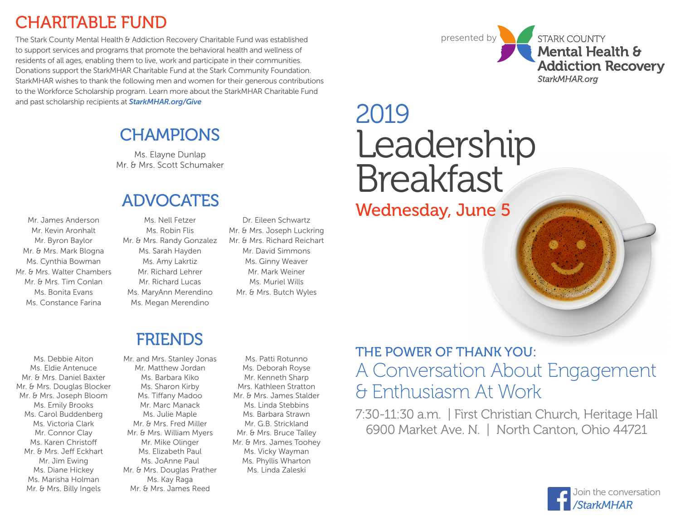### CHARITABLE FUND

The Stark County Mental Health & Addiction Recovery Charitable Fund was established to support services and programs that promote the behavioral health and wellness of residents of all ages, enabling them to live, work and participate in their communities. Donations support the StarkMHAR Charitable Fund at the Stark Community Foundation. StarkMHAR wishes to thank the following men and women for their generous contributions to the Workforce Scholarship program. Learn more about the StarkMHAR Charitable Fund and past scholarship recipients at *StarkMHAR.org/Give*

### **CHAMPIONS**

Ms. Elayne Dunlap Mr. & Mrs. Scott Schumaker

### ADVOCATES

Mr. James Anderson Mr. Kevin Aronhalt Mr. Byron Baylor Mr. & Mrs. Mark Blogna Ms. Cynthia Bowman Mr. & Mrs. Walter Chambers Mr. & Mrs. Tim Conlan Ms. Bonita Evans Ms. Constance Farina

Ms. Nell Fetzer Ms. Robin Flis Mr. & Mrs. Randy Gonzalez Ms. Sarah Hayden Ms. Amy Lakrtiz Mr. Richard Lehrer Mr. Richard Lucas Ms. MaryAnn Merendino Ms. Megan Merendino

Dr. Eileen Schwartz Mr. & Mrs. Joseph Luckring Mr. & Mrs. Richard Reichart Mr. David Simmons Ms. Ginny Weaver Mr. Mark Weiner Ms. Muriel Wills Mr. & Mrs. Butch Wyles

# 2019 Leadership Breakfast

presented by

STARK COUNTY

StarkMHAR.org

Mental Health &

**Addiction Recoverv** 

Wednesday, June 5

### FRIENDS

Ms. Debbie Aiton Ms. Eldie Antenuce Mr. & Mrs. Daniel Baxter Mr. & Mrs. Douglas Blocker Mr. & Mrs. Joseph Bloom Ms. Emily Brooks Ms. Carol Buddenberg Ms. Victoria Clark Mr. Connor Clay Ms. Karen Christoff Mr. & Mrs. Jeff Eckhart Mr. Jim Ewing Ms. Diane Hickey Ms. Marisha Holman Mr. & Mrs. Billy Ingels

Mr. and Mrs. Stanley Jonas Mr. Matthew Jordan Ms. Barbara Kiko Ms. Sharon Kirby Ms. Tiffany Madoo Mr. Marc Manack Ms. Julie Maple Mr. & Mrs. Fred Miller Mr. & Mrs. William Myers Mr. Mike Olinger Ms. Elizabeth Paul Ms. JoAnne Paul Mr. & Mrs. Douglas Prather Ms. Kay Raga Mr. & Mrs. James Reed

Ms. Patti Rotunno Ms. Deborah Royse Mr. Kenneth Sharp Mrs. Kathleen Stratton Mr. & Mrs. James Stalder Ms. Linda Stebbins Ms. Barbara Strawn Mr. G.B. Strickland Mr. & Mrs. Bruce Talley Mr. & Mrs. James Toohey Ms. Vicky Wayman Ms. Phyllis Wharton Ms. Linda Zaleski

### A Conversation About Engagement & Enthusiasm At Work THE POWER OF THANK YOU:

7:30-11:30 a.m. | First Christian Church, Heritage Hall 6900 Market Ave. N. | North Canton, Ohio 44721

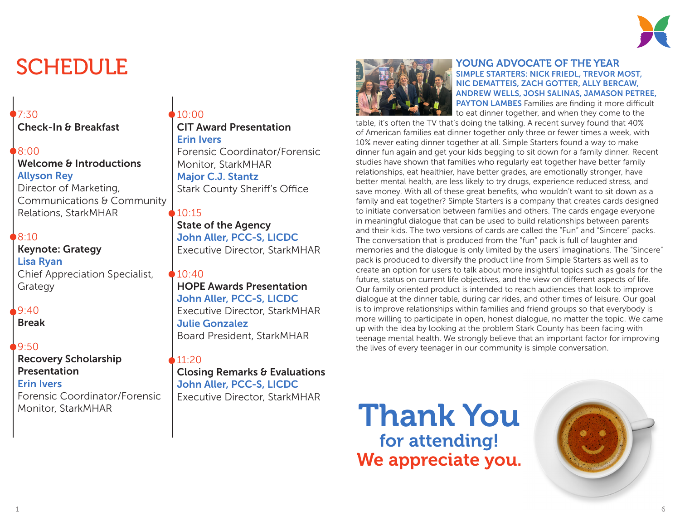

### $7:30$

Check-In & Breakfast

#### 8:00

### Welcome & Introductions Allyson Rey

Director of Marketing, Communications & Community Relations, StarkMHAR

#### $8:10$

#### Keynote: Grategy Lisa Ryan Chief Appreciation Specialist, Grategy

#### $9.40$

Break

#### 9:50

#### Recovery Scholarship Presentation Erin Ivers Forensic Coordinator/Forensic Monitor, StarkMHAR

#### $10:00$ CIT Award Presentation Erin Ivers Forensic Coordinator/Forensic Monitor, StarkMHAR Major C.J. Stantz

Stark County Sheriff's Office

#### 10:15

State of the Agency John Aller, PCC-S, LICDC Executive Director, StarkMHAR

#### $10:40$

#### HOPE Awards Presentation John Aller, PCC-S, LICDC Executive Director, StarkMHAR Julie Gonzalez Board President, StarkMHAR

#### 11:20

Closing Remarks & Evaluations John Aller, PCC-S, LICDC Executive Director, StarkMHAR



#### SCHEDULE SERVICE OF THE YEAR AND TO UNCERTAINTED STARTED STARTED TO THE YEAR SIMPLE STARTERS: NICK FRIEDL, TREVOR MOST, NIC DEMATTEIS, ZACH GOTTER, ALLY BERCAW, ANDREW WELLS, JOSH SALINAS, JAMASON PETREE, PAYTON LAMBES Families are finding it more difficult to eat dinner together, and when they come to the

table, it's often the TV that's doing the talking. A recent survey found that 40% of American families eat dinner together only three or fewer times a week, with 10% never eating dinner together at all. Simple Starters found a way to make dinner fun again and get your kids begging to sit down for a family dinner. Recent studies have shown that families who regularly eat together have better family relationships, eat healthier, have better grades, are emotionally stronger, have better mental health, are less likely to try drugs, experience reduced stress, and save money. With all of these great benefits, who wouldn't want to sit down as a family and eat together? Simple Starters is a company that creates cards designed to initiate conversation between families and others. The cards engage everyone in meaningful dialogue that can be used to build relationships between parents and their kids. The two versions of cards are called the "Fun" and "Sincere" packs. The conversation that is produced from the "fun" pack is full of laughter and memories and the dialogue is only limited by the users' imaginations. The "Sincere" pack is produced to diversify the product line from Simple Starters as well as to create an option for users to talk about more insightful topics such as goals for the future, status on current life objectives, and the view on different aspects of life. Our family oriented product is intended to reach audiences that look to improve dialogue at the dinner table, during car rides, and other times of leisure. Our goal is to improve relationships within families and friend groups so that everybody is more willing to participate in open, honest dialogue, no matter the topic. We came up with the idea by looking at the problem Stark County has been facing with teenage mental health. We strongly believe that an important factor for improving the lives of every teenager in our community is simple conversation.

### Thank You for attending! We appreciate you.

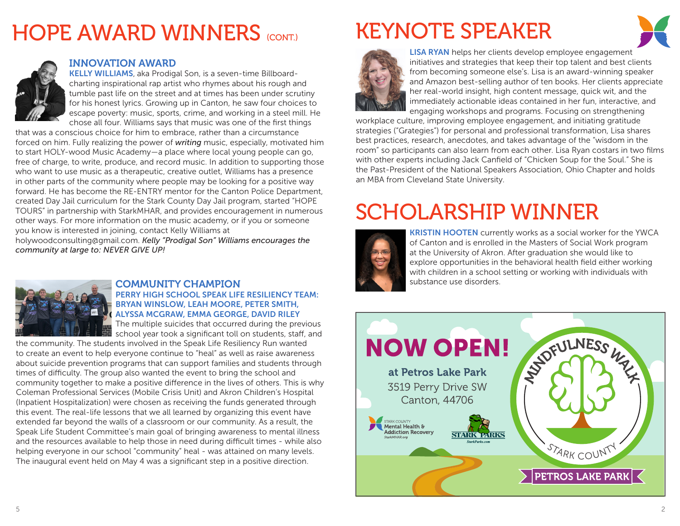## **HOPE AWARD WINNERS** (CONT)



#### INNOVATION AWARD

KELLY WILLIAMS, aka Prodigal Son, is a seven-time Billboardcharting inspirational rap artist who rhymes about his rough and tumble past life on the street and at times has been under scrutiny for his honest lyrics. Growing up in Canton, he saw four choices to escape poverty: music, sports, crime, and working in a steel mill. He chose all four. Williams says that music was one of the first things

that was a conscious choice for him to embrace, rather than a circumstance forced on him. Fully realizing the power of *writing* music, especially, motivated him to start HOLY-wood Music Academy—a place where local young people can go, free of charge, to write, produce, and record music. In addition to supporting those who want to use music as a therapeutic, creative outlet, Williams has a presence in other parts of the community where people may be looking for a positive way forward. He has become the RE-ENTRY mentor for the Canton Police Department, created Day Jail curriculum for the Stark County Day Jail program, started "HOPE TOURS" in partnership with StarkMHAR, and provides encouragement in numerous other ways. For more information on the music academy, or if you or someone you know is interested in joining, contact Kelly Williams at

holywoodconsulting@gmail.com. *Kelly "Prodigal Son" Williams encourages the community at large to: NEVER GIVE UP!*



#### COMMUNITY CHAMPION PERRY HIGH SCHOOL SPEAK LIFE RESILIENCY TEAM: BRYAN WINSLOW, LEAH MOORE, PETER SMITH, ALYSSA MCGRAW, EMMA GEORGE, DAVID RILEY

The multiple suicides that occurred during the previous school year took a significant toll on students, staff, and

the community. The students involved in the Speak Life Resiliency Run wanted to create an event to help everyone continue to "heal" as well as raise awareness about suicide prevention programs that can support families and students through times of difficulty. The group also wanted the event to bring the school and community together to make a positive difference in the lives of others. This is why Coleman Professional Services (Mobile Crisis Unit) and Akron Children's Hospital (Inpatient Hospitalization) were chosen as receiving the funds generated through this event. The real-life lessons that we all learned by organizing this event have extended far beyond the walls of a classroom or our community. As a result, the Speak Life Student Committee's main goal of bringing awareness to mental illness and the resources available to help those in need during difficult times - while also helping everyone in our school "community" heal - was attained on many levels. The inaugural event held on May 4 was a significant step in a positive direction.

### KEYNOTE SPEAKER



LISA RYAN helps her clients develop employee engagement initiatives and strategies that keep their top talent and best clients from becoming someone else's. Lisa is an award-winning speaker and Amazon best-selling author of ten books. Her clients appreciate her real-world insight, high content message, quick wit, and the immediately actionable ideas contained in her fun, interactive, and engaging workshops and programs. Focusing on strengthening

workplace culture, improving employee engagement, and initiating gratitude strategies ("Grategies") for personal and professional transformation, Lisa shares best practices, research, anecdotes, and takes advantage of the "wisdom in the room" so participants can also learn from each other. Lisa Ryan costars in two films with other experts including Jack Canfield of "Chicken Soup for the Soul." She is the Past-President of the National Speakers Association, Ohio Chapter and holds an MBA from Cleveland State University.

### SCHOLARSHIP WINNER



**KRISTIN HOOTEN** currently works as a social worker for the YWCA of Canton and is enrolled in the Masters of Social Work program at the University of Akron. After graduation she would like to explore opportunities in the behavioral health field either working with children in a school setting or working with individuals with substance use disorders.